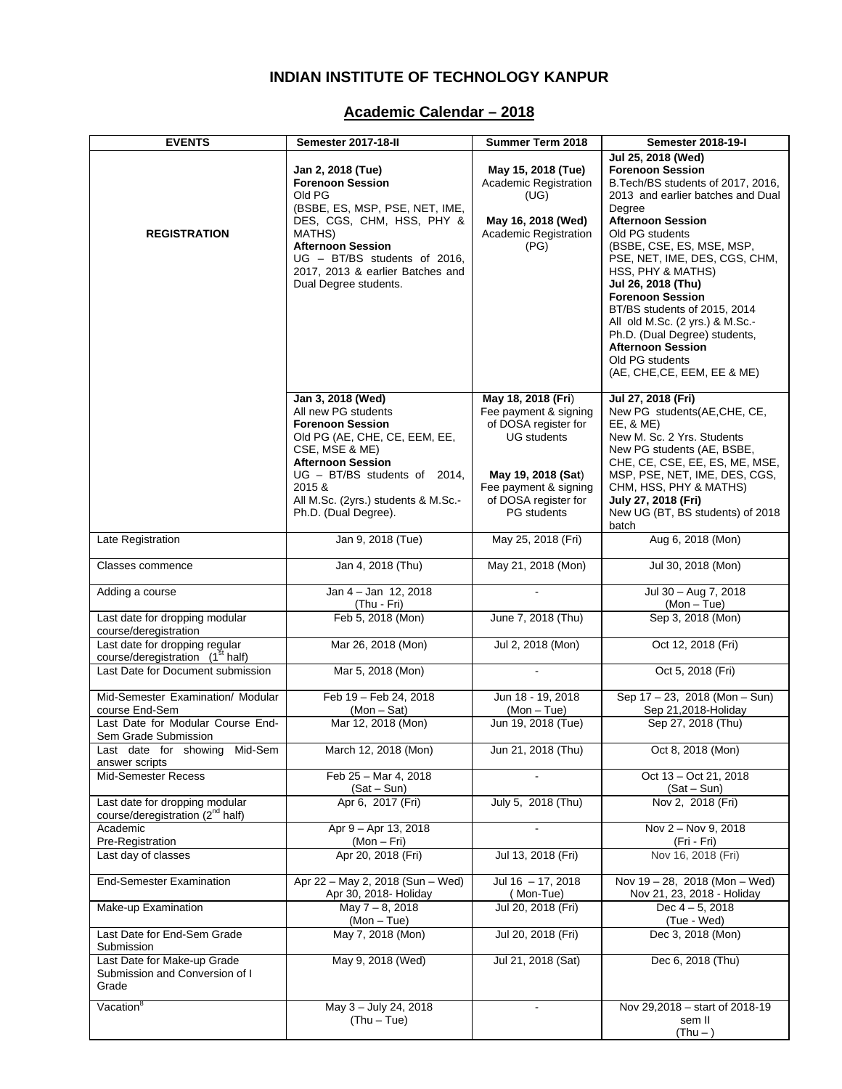### **INDIAN INSTITUTE OF TECHNOLOGY KANPUR**

### **Academic Calendar – 2018**

| <b>EVENTS</b>                                                                  | Semester 2017-18-II                                                                                                                                                                                                                                         | <b>Summer Term 2018</b>                                                                                                                                                                | <b>Semester 2018-19-I</b>                                                                                                                                                                                                                                                                                                                                                                                                                                                                              |
|--------------------------------------------------------------------------------|-------------------------------------------------------------------------------------------------------------------------------------------------------------------------------------------------------------------------------------------------------------|----------------------------------------------------------------------------------------------------------------------------------------------------------------------------------------|--------------------------------------------------------------------------------------------------------------------------------------------------------------------------------------------------------------------------------------------------------------------------------------------------------------------------------------------------------------------------------------------------------------------------------------------------------------------------------------------------------|
| <b>REGISTRATION</b>                                                            | Jan 2, 2018 (Tue)<br><b>Forenoon Session</b><br>Old PG<br>(BSBE, ES, MSP, PSE, NET, IME,<br>DES, CGS, CHM, HSS, PHY &<br>MATHS)<br><b>Afternoon Session</b><br>$UG - BT/BS$ students of 2016,<br>2017, 2013 & earlier Batches and<br>Dual Degree students.  | May 15, 2018 (Tue)<br>Academic Registration<br>(UG)<br>May 16, 2018 (Wed)<br>Academic Registration<br>(PG)                                                                             | Jul 25, 2018 (Wed)<br><b>Forenoon Session</b><br>B.Tech/BS students of 2017, 2016,<br>2013 and earlier batches and Dual<br>Degree<br><b>Afternoon Session</b><br>Old PG students<br>(BSBE, CSE, ES, MSE, MSP,<br>PSE, NET, IME, DES, CGS, CHM,<br>HSS, PHY & MATHS)<br>Jul 26, 2018 (Thu)<br><b>Forenoon Session</b><br>BT/BS students of 2015, 2014<br>All old M.Sc. (2 yrs.) & M.Sc.-<br>Ph.D. (Dual Degree) students,<br><b>Afternoon Session</b><br>Old PG students<br>(AE, CHE, CE, EEM, EE & ME) |
|                                                                                | Jan 3, 2018 (Wed)<br>All new PG students<br><b>Forenoon Session</b><br>Old PG (AE, CHE, CE, EEM, EE,<br>CSE, MSE & ME)<br><b>Afternoon Session</b><br>UG - BT/BS students of 2014,<br>2015 &<br>All M.Sc. (2yrs.) students & M.Sc.-<br>Ph.D. (Dual Degree). | May 18, 2018 (Fri)<br>Fee payment & signing<br>of DOSA register for<br><b>UG</b> students<br>May 19, 2018 (Sat)<br>Fee payment & signing<br>of DOSA register for<br><b>PG</b> students | Jul 27, 2018 (Fri)<br>New PG students(AE,CHE, CE,<br>EE, & ME)<br>New M. Sc. 2 Yrs. Students<br>New PG students (AE, BSBE,<br>CHE, CE, CSE, EE, ES, ME, MSE,<br>MSP, PSE, NET, IME, DES, CGS,<br>CHM, HSS, PHY & MATHS)<br>July 27, 2018 (Fri)<br>New UG (BT, BS students) of 2018<br>batch                                                                                                                                                                                                            |
| Late Registration                                                              | Jan 9, 2018 (Tue)                                                                                                                                                                                                                                           | May 25, 2018 (Fri)                                                                                                                                                                     | Aug 6, 2018 (Mon)                                                                                                                                                                                                                                                                                                                                                                                                                                                                                      |
| Classes commence                                                               | Jan 4, 2018 (Thu)                                                                                                                                                                                                                                           | May 21, 2018 (Mon)                                                                                                                                                                     | Jul 30, 2018 (Mon)                                                                                                                                                                                                                                                                                                                                                                                                                                                                                     |
| Adding a course                                                                | Jan 4 - Jan 12, 2018<br>(Thu - Fri)                                                                                                                                                                                                                         | $\blacksquare$                                                                                                                                                                         | Jul 30 - Aug 7, 2018<br>$(Mon - Tue)$                                                                                                                                                                                                                                                                                                                                                                                                                                                                  |
| Last date for dropping modular<br>course/deregistration                        | Feb 5, 2018 (Mon)                                                                                                                                                                                                                                           | June 7, 2018 (Thu)                                                                                                                                                                     | Sep 3, 2018 (Mon)                                                                                                                                                                                                                                                                                                                                                                                                                                                                                      |
| Last date for dropping regular<br>course/deregistration (1 <sup>st</sup> half) | Mar 26, 2018 (Mon)                                                                                                                                                                                                                                          | Jul 2, 2018 (Mon)                                                                                                                                                                      | Oct 12, 2018 (Fri)                                                                                                                                                                                                                                                                                                                                                                                                                                                                                     |
| Last Date for Document submission                                              | Mar 5, 2018 (Mon)                                                                                                                                                                                                                                           |                                                                                                                                                                                        | Oct 5, 2018 (Fri)                                                                                                                                                                                                                                                                                                                                                                                                                                                                                      |
| Mid-Semester Examination/ Modular<br>course End-Sem                            | Feb 19 - Feb 24, 2018<br>$(Mon-Sat)$                                                                                                                                                                                                                        | Jun 18 - 19, 2018<br>$(Mon - Tue)$                                                                                                                                                     | Sep 17 - 23, 2018 (Mon - Sun)<br>Sep 21,2018-Holiday                                                                                                                                                                                                                                                                                                                                                                                                                                                   |
| Last Date for Modular Course End-<br>Sem Grade Submission                      | Mar 12, 2018 (Mon)                                                                                                                                                                                                                                          | Jun 19, 2018 (Tue)                                                                                                                                                                     | Sep 27, 2018 (Thu)                                                                                                                                                                                                                                                                                                                                                                                                                                                                                     |
| Last date for showing Mid-Sem<br>answer scripts                                | March 12, 2018 (Mon)                                                                                                                                                                                                                                        | Jun 21, 2018 (Thu)                                                                                                                                                                     | Oct 8, 2018 (Mon)                                                                                                                                                                                                                                                                                                                                                                                                                                                                                      |
| <b>Mid-Semester Recess</b>                                                     | Feb 25 - Mar 4, 2018<br>$(Sat-Sun)$                                                                                                                                                                                                                         |                                                                                                                                                                                        | Oct 13 - Oct 21, 2018<br>$(Sat-Sun)$                                                                                                                                                                                                                                                                                                                                                                                                                                                                   |
| Last date for dropping modular<br>course/deregistration (2 <sup>nd</sup> half) | Apr 6, 2017 (Fri)                                                                                                                                                                                                                                           | July 5, 2018 (Thu)                                                                                                                                                                     | Nov 2, 2018 (Fri)                                                                                                                                                                                                                                                                                                                                                                                                                                                                                      |
| Academic<br>Pre-Registration                                                   | Apr 9 - Apr 13, 2018<br>$(Mon-Fri)$                                                                                                                                                                                                                         |                                                                                                                                                                                        | Nov 2 - Nov 9, 2018<br>(Fri - Fri)                                                                                                                                                                                                                                                                                                                                                                                                                                                                     |
| Last day of classes                                                            | Apr 20, 2018 (Fri)                                                                                                                                                                                                                                          | Jul 13, 2018 (Fri)                                                                                                                                                                     | Nov 16, 2018 (Fri)                                                                                                                                                                                                                                                                                                                                                                                                                                                                                     |
| <b>End-Semester Examination</b>                                                | Apr 22 - May 2, 2018 (Sun - Wed)<br>Apr 30, 2018- Holiday                                                                                                                                                                                                   | Jul 16 - 17, 2018<br>(Mon-Tue)                                                                                                                                                         | Nov 19 - 28, 2018 (Mon - Wed)<br>Nov 21, 23, 2018 - Holiday                                                                                                                                                                                                                                                                                                                                                                                                                                            |
| Make-up Examination                                                            | May 7 - 8, 2018<br>$(Mon - Tue)$                                                                                                                                                                                                                            | Jul 20, 2018 (Fri)                                                                                                                                                                     | Dec $4 - 5$ , 2018<br>(Tue - Wed)                                                                                                                                                                                                                                                                                                                                                                                                                                                                      |
| Last Date for End-Sem Grade<br>Submission                                      | May 7, 2018 (Mon)                                                                                                                                                                                                                                           | Jul 20, 2018 (Fri)                                                                                                                                                                     | Dec 3, 2018 (Mon)                                                                                                                                                                                                                                                                                                                                                                                                                                                                                      |
| Last Date for Make-up Grade<br>Submission and Conversion of I<br>Grade         | May 9, 2018 (Wed)                                                                                                                                                                                                                                           | Jul 21, 2018 (Sat)                                                                                                                                                                     | Dec 6, 2018 (Thu)                                                                                                                                                                                                                                                                                                                                                                                                                                                                                      |
| Vacation <sup>8</sup>                                                          | May 3 - July 24, 2018<br>$(Thu - Tue)$                                                                                                                                                                                                                      |                                                                                                                                                                                        | Nov 29,2018 - start of 2018-19<br>sem II<br>$(Thu - )$                                                                                                                                                                                                                                                                                                                                                                                                                                                 |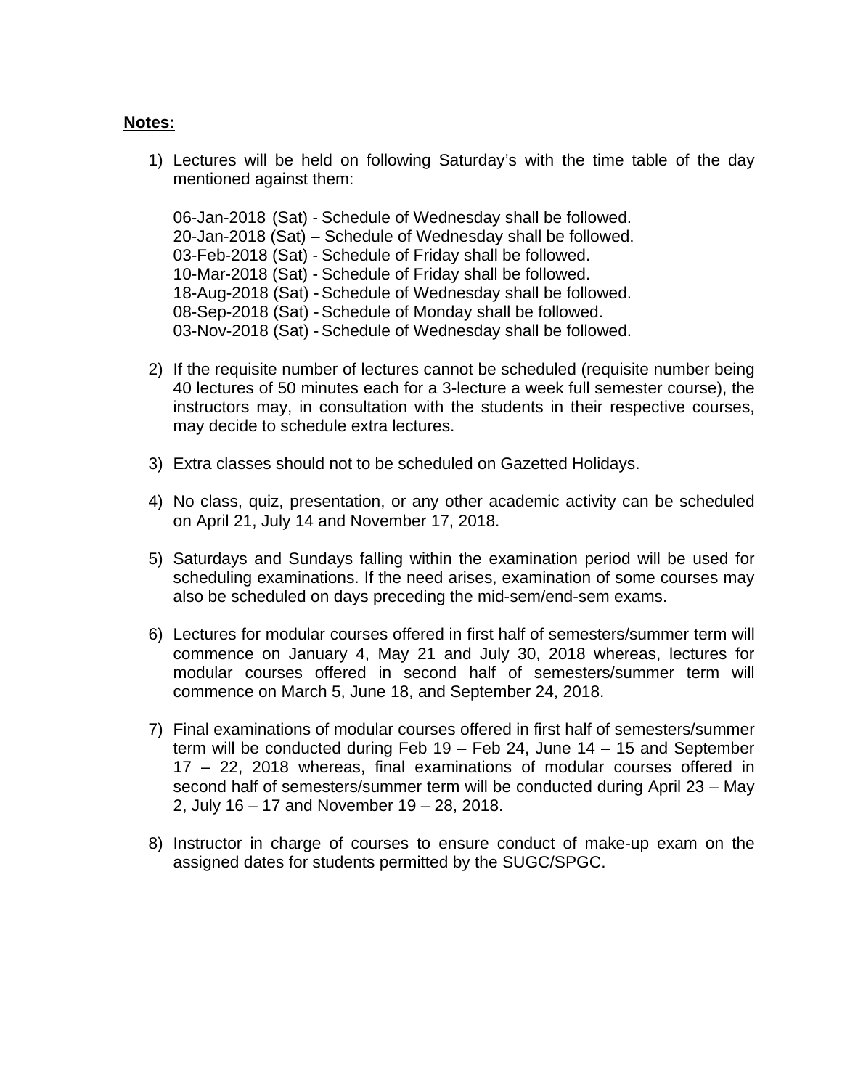#### **Notes:**

1) Lectures will be held on following Saturday's with the time table of the day mentioned against them:

06-Jan-2018 (Sat) - Schedule of Wednesday shall be followed. 20-Jan-2018 (Sat) – Schedule of Wednesday shall be followed. 03-Feb-2018 (Sat) - Schedule of Friday shall be followed. 10-Mar-2018 (Sat) - Schedule of Friday shall be followed. 18-Aug-2018 (Sat) - Schedule of Wednesday shall be followed. 08-Sep-2018 (Sat) - Schedule of Monday shall be followed. 03-Nov-2018 (Sat) - Schedule of Wednesday shall be followed.

- 2) If the requisite number of lectures cannot be scheduled (requisite number being 40 lectures of 50 minutes each for a 3-lecture a week full semester course), the instructors may, in consultation with the students in their respective courses, may decide to schedule extra lectures.
- 3) Extra classes should not to be scheduled on Gazetted Holidays.
- 4) No class, quiz, presentation, or any other academic activity can be scheduled on April 21, July 14 and November 17, 2018.
- 5) Saturdays and Sundays falling within the examination period will be used for scheduling examinations. If the need arises, examination of some courses may also be scheduled on days preceding the mid-sem/end-sem exams.
- 6) Lectures for modular courses offered in first half of semesters/summer term will commence on January 4, May 21 and July 30, 2018 whereas, lectures for modular courses offered in second half of semesters/summer term will commence on March 5, June 18, and September 24, 2018.
- 7) Final examinations of modular courses offered in first half of semesters/summer term will be conducted during Feb 19 – Feb 24, June 14 – 15 and September 17 – 22, 2018 whereas, final examinations of modular courses offered in second half of semesters/summer term will be conducted during April 23 – May 2, July 16 – 17 and November 19 – 28, 2018.
- 8) Instructor in charge of courses to ensure conduct of make-up exam on the assigned dates for students permitted by the SUGC/SPGC.